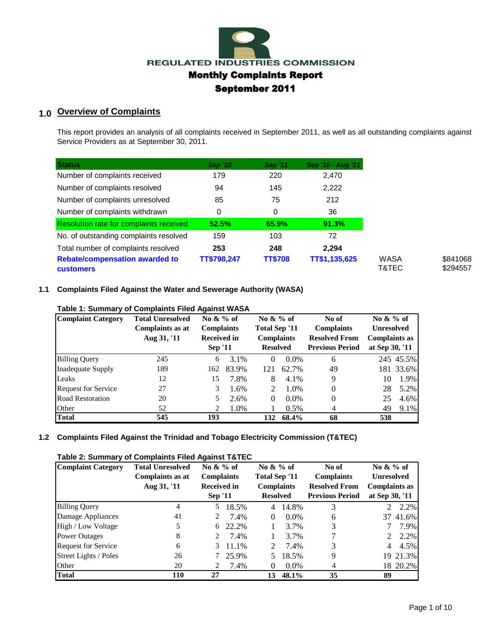

# **1.0 Overview of Complaints**

This report provides an analysis of all complaints received in September 2011, as well as all outstanding complaints against Service Providers as at September 30, 2011.

| <b>Status</b>                                             | <b>Sep '10</b> | <b>Sep '11</b> | Sep '10 - Aug '11 |
|-----------------------------------------------------------|----------------|----------------|-------------------|
| Number of complaints received                             | 179            | 220            | 2.470             |
| Number of complaints resolved                             | 94             | 145            | 2,222             |
| Number of complaints unresolved                           | 85             | 75             | 212               |
| Number of complaints withdrawn                            | 0              | 0              | 36                |
| <b>Resolution rate for complaints received</b>            | 52.5%          | 65.9%          | 91.3%             |
| No. of outstanding complaints resolved                    | 159            | 103            | 72                |
| Total number of complaints resolved                       | 253            | 248            | 2.294             |
| <b>Rebate/compensation awarded to</b><br><b>customers</b> | TT\$798,247    | <b>TT\$708</b> | TT\$1,135,625     |

#### **1.1 Complaints Filed Against the Water and Sewerage Authority (WASA)**

| <b>Complaint Category</b>  | <b>Total Unresolved</b> | No $\&\%$ of       |       | No $\&\%$ of                       |         | No of                  | No $\&\%$ of         |           |
|----------------------------|-------------------------|--------------------|-------|------------------------------------|---------|------------------------|----------------------|-----------|
|                            | Complaints as at        | <b>Complaints</b>  |       | Total Sep '11<br><b>Complaints</b> |         | <b>Complaints</b>      | <b>Unresolved</b>    |           |
|                            | Aug 31, '11             | <b>Received in</b> |       |                                    |         | <b>Resolved From</b>   | <b>Complaints as</b> |           |
|                            |                         | <b>Sep '11</b>     |       | <b>Resolved</b>                    |         | <b>Previous Period</b> | at Sep 30, '11       |           |
| <b>Billing Query</b>       | 245                     | 6                  | 3.1%  | $\Omega$                           | $0.0\%$ | 6                      |                      | 245 45.5% |
| Inadequate Supply          | 189                     | 162                | 83.9% | 121                                | 62.7%   | 49                     |                      | 181 33.6% |
| Leaks                      | 12                      | 15                 | 7.8%  | 8                                  | 4.1%    | 9                      | 10                   | 1.9%      |
| <b>Request for Service</b> | 27                      | 3                  | 1.6%  | 2                                  | 1.0%    | $\Omega$               | 28                   | 5.2%      |
| Road Restoration           | 20                      | 5.                 | 2.6%  | $\Omega$                           | $0.0\%$ | $\Omega$               | 25                   | 4.6%      |
| Other                      | 52                      | 2                  | 1.0%  |                                    | 0.5%    | 4                      | 49                   | 9.1%      |
| <b>Total</b>               | 545                     | 193                |       | 132                                | 68.4%   | 68                     | 538                  |           |

### **Table 1: Summary of Complaints Filed Against WASA**

### **1.2 Complaints Filed Against the Trinidad and Tobago Electricity Commission (T&TEC)**

#### **Table 2: Summary of Complaints Filed Against T&TEC**

| <b>Complaint Category</b>  | <b>Total Unresolved</b>         | No $\&\%$ of                            |       | No $\&\%$ of                       |         | No of                                     | No $\&\%$ of                              |          |
|----------------------------|---------------------------------|-----------------------------------------|-------|------------------------------------|---------|-------------------------------------------|-------------------------------------------|----------|
|                            | Complaints as at<br>Aug 31, '11 | <b>Complaints</b><br><b>Received in</b> |       | Total Sep '11<br><b>Complaints</b> |         | <b>Complaints</b><br><b>Resolved From</b> | <b>Unresolved</b><br><b>Complaints as</b> |          |
|                            |                                 | <b>Sep '11</b>                          |       | <b>Resolved</b>                    |         | <b>Previous Period</b>                    | at Sep 30, '11                            |          |
| <b>Billing Query</b>       | 4                               | 5                                       | 18.5% | 4                                  | 14.8%   | 3                                         | $2^{\circ}$                               | 2.2%     |
| Damage Appliances          | 41                              |                                         | 7.4%  | 0                                  | $0.0\%$ | 6                                         |                                           | 37 41.6% |
| High / Low Voltage         |                                 | 6                                       | 22.2% |                                    | 3.7%    | 3                                         |                                           | 7.9%     |
| <b>Power Outages</b>       | 8                               | 2                                       | 7.4%  |                                    | 3.7%    | 7                                         |                                           | 2.2%     |
| <b>Request for Service</b> | 6                               | 3                                       | 11.1% | 2                                  | 7.4%    | 3                                         | 4                                         | 4.5%     |
| Street Lights / Poles      | 26                              |                                         | 25.9% | 5.                                 | 18.5%   | 9                                         |                                           | 19 21.3% |
| Other                      | 20                              |                                         | 7.4%  | $\Omega$                           | $0.0\%$ | 4                                         |                                           | 18 20.2% |
| <b>Total</b>               | 110                             | 27                                      |       | 13                                 | 48.1%   | 35                                        | 89                                        |          |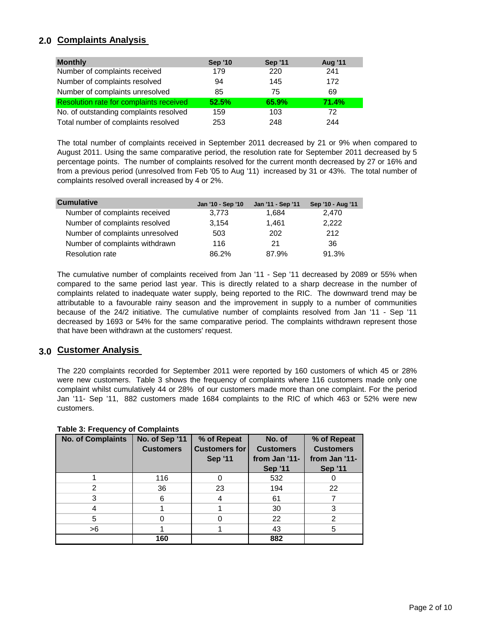## **2.0 Complaints Analysis**

| <b>Monthly</b>                                 | <b>Sep '10</b> | <b>Sep '11</b> | <b>Aug '11</b> |
|------------------------------------------------|----------------|----------------|----------------|
| Number of complaints received                  | 179            | 220            | 241            |
| Number of complaints resolved                  | 94             | 145            | 172            |
| Number of complaints unresolved                | 85             | 75             | 69             |
| <b>Resolution rate for complaints received</b> | 52.5%          | 65.9%          | 71.4%          |
| No. of outstanding complaints resolved         | 159            | 103            | 72             |
| Total number of complaints resolved            | 253            | 248            | 244            |

The total number of complaints received in September 2011 decreased by 21 or 9% when compared to August 2011. Using the same comparative period, the resolution rate for September 2011 decreased by 5 percentage points. The number of complaints resolved for the current month decreased by 27 or 16% and from a previous period (unresolved from Feb '05 to Aug '11) increased by 31 or 43%. The total number of complaints resolved overall increased by 4 or 2%.

| <b>Cumulative</b>               | Jan '10 - Sep '10 | Jan '11 - Sep '11 | Sep '10 - Aug '11 |
|---------------------------------|-------------------|-------------------|-------------------|
| Number of complaints received   | 3.773             | 1.684             | 2.470             |
| Number of complaints resolved   | 3.154             | 1.461             | 2,222             |
| Number of complaints unresolved | 503               | 202               | 212               |
| Number of complaints withdrawn  | 116               | 21                | 36                |
| <b>Resolution rate</b>          | 86.2%             | 87.9%             | 91.3%             |

The cumulative number of complaints received from Jan '11 - Sep '11 decreased by 2089 or 55% when compared to the same period last year. This is directly related to a sharp decrease in the number of complaints related to inadequate water supply, being reported to the RIC. The downward trend may be attributable to a favourable rainy season and the improvement in supply to a number of communities because of the 24/2 initiative. The cumulative number of complaints resolved from Jan '11 - Sep '11 decreased by 1693 or 54% for the same comparative period. The complaints withdrawn represent those that have been withdrawn at the customers' request.

## **3.0 Customer Analysis**

The 220 complaints recorded for September 2011 were reported by 160 customers of which 45 or 28% were new customers. Table 3 shows the frequency of complaints where 116 customers made only one complaint whilst cumulatively 44 or 28% of our customers made more than one complaint. For the period Jan '11- Sep '11, 882 customers made 1684 complaints to the RIC of which 463 or 52% were new customers.

| <b>No. of Complaints</b> | No. of Sep '11<br><b>Customers</b> | % of Repeat<br><b>Customers for</b><br><b>Sep '11</b> | No. of<br><b>Customers</b><br>from Jan '11-<br><b>Sep '11</b> | % of Repeat<br><b>Customers</b><br>from Jan '11-<br><b>Sep '11</b> |
|--------------------------|------------------------------------|-------------------------------------------------------|---------------------------------------------------------------|--------------------------------------------------------------------|
|                          | 116                                |                                                       | 532                                                           |                                                                    |
| 2                        | 36                                 | 23                                                    | 194                                                           | 22                                                                 |
| 3                        | 6                                  | 4                                                     | 61                                                            |                                                                    |
|                          |                                    |                                                       | 30                                                            | 3                                                                  |
| 5                        |                                    |                                                       | 22                                                            | $\mathcal{P}$                                                      |
| >6                       |                                    |                                                       | 43                                                            | 5                                                                  |
|                          | 160                                |                                                       | 882                                                           |                                                                    |

### **Table 3: Frequency of Complaints**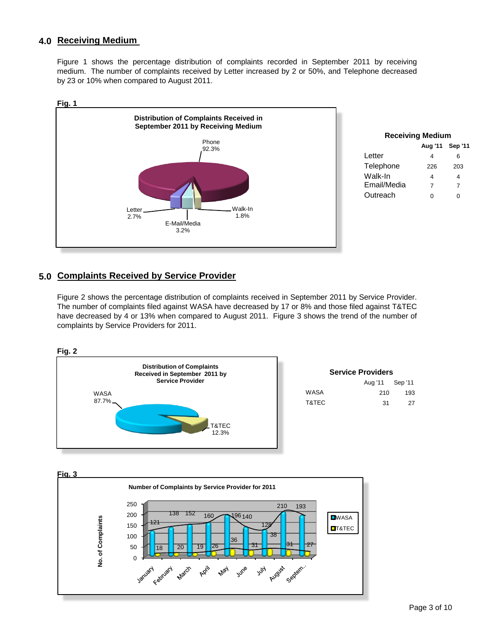## **4.0 Receiving Medium**

Figure 1 shows the percentage distribution of complaints recorded in September 2011 by receiving medium. The number of complaints received by Letter increased by 2 or 50%, and Telephone decreased by 23 or 10% when compared to August 2011.



|  | 5.0 Complaints Received by Service Provider |
|--|---------------------------------------------|

Figure 2 shows the percentage distribution of complaints received in September 2011 by Service Provider. The number of complaints filed against WASA have decreased by 17 or 8% and those filed against T&TEC have decreased by 4 or 13% when compared to August 2011. Figure 3 shows the trend of the number of complaints by Service Providers for 2011.



| <b>Service Providers</b> |         |         |  |  |  |  |  |  |
|--------------------------|---------|---------|--|--|--|--|--|--|
|                          | Aug '11 | Sep '11 |  |  |  |  |  |  |
| WASA                     | 210     | 193     |  |  |  |  |  |  |
| T&TEC                    | 31      | 27      |  |  |  |  |  |  |

**Fig. 3**

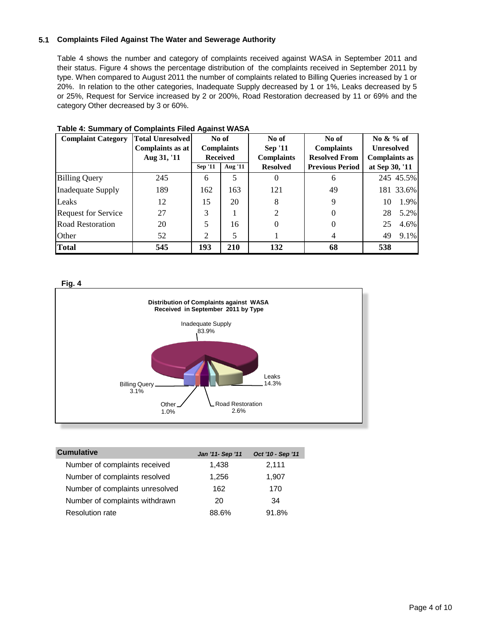### **5.1 Complaints Filed Against The Water and Sewerage Authority**

Table 4 shows the number and category of complaints received against WASA in September 2011 and their status. Figure 4 shows the percentage distribution of the complaints received in September 2011 by type. When compared to August 2011 the number of complaints related to Billing Queries increased by 1 or 20%. In relation to the other categories, Inadequate Supply decreased by 1 or 1%, Leaks decreased by 5 or 25%, Request for Service increased by 2 or 200%, Road Restoration decreased by 11 or 69% and the category Other decreased by 3 or 60%.

| <b>Complaint Category</b>  | <b>Total Unresolved</b> | No of                     |                   | No of             | No of                  | No $\&\%$ of         |  |
|----------------------------|-------------------------|---------------------------|-------------------|-------------------|------------------------|----------------------|--|
|                            | Complaints as at        |                           | <b>Complaints</b> | <b>Sep '11</b>    | <b>Complaints</b>      | <b>Unresolved</b>    |  |
|                            | Aug 31, '11             | <b>Received</b>           |                   | <b>Complaints</b> | <b>Resolved From</b>   | <b>Complaints as</b> |  |
|                            |                         | Aug '11<br><b>Sep '11</b> |                   | <b>Resolved</b>   | <b>Previous Period</b> | at Sep 30, '11       |  |
| <b>Billing Query</b>       | 245                     | 6                         |                   | $\theta$          | 6                      | 245 45.5%            |  |
| <b>Inadequate Supply</b>   | 189                     | 162                       | 163               | 121               | 49                     | 181 33.6%            |  |
| Leaks                      | 12                      | 15                        | 20                | 8                 | 9                      | 1.9%<br>10           |  |
| <b>Request for Service</b> | 27                      | 3                         |                   | $\overline{c}$    |                        | 5.2%<br>28           |  |
| <b>Road Restoration</b>    | 20                      |                           | 16                | 0                 | 0                      | 25<br>4.6%           |  |
| Other                      | 52                      | $\mathfrak{D}$            | 5                 |                   | 4                      | 9.1%<br>49           |  |
| <b>Total</b>               | 545                     | 193                       | 210               | 132               | 68                     | 538                  |  |

### **Table 4: Summary of Complaints Filed Against WASA**





| <b>Cumulative</b>               | Jan '11- Sep '11 | Oct '10 - Sep '11 |
|---------------------------------|------------------|-------------------|
| Number of complaints received   | 1,438            | 2,111             |
| Number of complaints resolved   | 1,256            | 1,907             |
| Number of complaints unresolved | 162              | 170               |
| Number of complaints withdrawn  | 20               | 34                |
| <b>Resolution rate</b>          | 88.6%            | 91.8%             |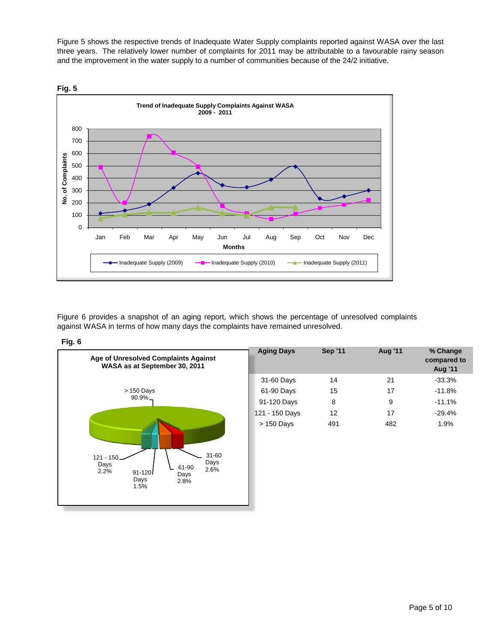Figure 5 shows the respective trends of Inadequate Water Supply complaints reported against WASA over the last three years. The relatively lower number of complaints for 2011 may be attributable to a favourable rainy season and the improvement in the water supply to a number of communities because of the 24/2 initiative.



Figure 6 provides a snapshot of an aging report, which shows the percentage of unresolved complaints against WASA in terms of how many days the complaints have remained unresolved.

#### **Fig. 6**

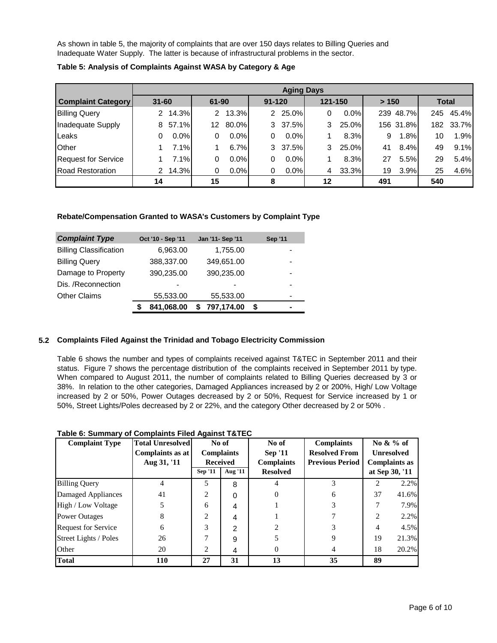As shown in table 5, the majority of complaints that are over 150 days relates to Billing Queries and Inadequate Water Supply. The latter is because of infrastructural problems in the sector.

|                            | <b>Aging Days</b> |       |       |         |            |         |    |         |       |           |              |       |
|----------------------------|-------------------|-------|-------|---------|------------|---------|----|---------|-------|-----------|--------------|-------|
| <b>Complaint Category</b>  | $31 - 60$         |       | 61-90 |         | $91 - 120$ |         |    | 121-150 | > 150 |           | <b>Total</b> |       |
| <b>Billing Query</b>       | 2                 | 14.3% | 2     | 13.3%   |            | 2 25.0% | 0  | 0.0%    |       | 239 48.7% | 245          | 45.4% |
| Inadequate Supply          | 8                 | 57.1% | 12    | 80.0%   |            | 3 37.5% | 3  | 25.0%   |       | 156 31.8% | 182          | 33.7% |
| Leaks                      | 0                 | 0.0%  | 0     | 0.0%    | 0          | $0.0\%$ |    | 8.3%    | 9     | 1.8%      | 10           | 1.9%  |
| Other                      |                   | 7.1%  |       | 6.7%    |            | 3 37.5% | 3  | 25.0%   | 41    | 8.4%      | 49           | 9.1%  |
| <b>Request for Service</b> |                   | 7.1%  | 0     | $0.0\%$ | 0          | $0.0\%$ |    | 8.3%    | 27    | 5.5%      | 29           | 5.4%  |
| <b>Road Restoration</b>    | 2                 | 14.3% | 0     | 0.0%    | 0          | 0.0%    | 4  | 33.3%   | 19    | 3.9%      | 25           | 4.6%  |
|                            | 14                |       | 15    |         | 8          |         | 12 |         | 491   |           | 540          |       |

**Table 5: Analysis of Complaints Against WASA by Category & Age**

#### **Rebate/Compensation Granted to WASA's Customers by Complaint Type**

| <b>Complaint Type</b>         | Oct '10 - Sep '11 | Jan '11- Sep '11 | <b>Sep '11</b>           |
|-------------------------------|-------------------|------------------|--------------------------|
| <b>Billing Classification</b> | 6,963.00          | 1,755.00         |                          |
| <b>Billing Query</b>          | 388,337.00        | 349,651.00       | -                        |
| Damage to Property            | 390,235.00        | 390,235.00       |                          |
| Dis. /Reconnection            |                   |                  |                          |
| <b>Other Claims</b>           | 55,533.00         | 55,533.00        | $\overline{\phantom{0}}$ |
|                               | 841,068.00        | 797,174.00       | \$                       |

#### **5.2 Complaints Filed Against the Trinidad and Tobago Electricity Commission**

Table 6 shows the number and types of complaints received against T&TEC in September 2011 and their status. Figure 7 shows the percentage distribution of the complaints received in September 2011 by type. When compared to August 2011, the number of complaints related to Billing Queries decreased by 3 or 38%. In relation to the other categories, Damaged Appliances increased by 2 or 200%, High/ Low Voltage increased by 2 or 50%, Power Outages decreased by 2 or 50%, Request for Service increased by 1 or 50%, Street Lights/Poles decreased by 2 or 22%, and the category Other decreased by 2 or 50% .

| <b>Complaint Type</b>      | <b>Total Unresolved</b> | No of             |               |                 |    | No of             |                        | No $\&\%$ of         |                   |
|----------------------------|-------------------------|-------------------|---------------|-----------------|----|-------------------|------------------------|----------------------|-------------------|
|                            | Complaints as at        | <b>Complaints</b> |               |                 |    | <b>Sep '11</b>    | <b>Resolved From</b>   |                      | <b>Unresolved</b> |
|                            | Aug 31, '11             | <b>Received</b>   |               |                 |    | <b>Complaints</b> | <b>Previous Period</b> | <b>Complaints as</b> |                   |
|                            |                         | <b>Sep '11</b>    | Aug '11       | <b>Resolved</b> |    |                   | at Sep 30, '11         |                      |                   |
| <b>Billing Query</b>       | 4                       | 5                 | 8             | 4               | 3  | $\mathfrak{D}$    | 2.2%                   |                      |                   |
| Damaged Appliances         | 41                      | $\mathfrak{D}$    | $\Omega$      | 0               | 6  | 37                | 41.6%                  |                      |                   |
| High / Low Voltage         |                         | 6                 | 4             |                 | 3  | 7                 | 7.9%                   |                      |                   |
| <b>Power Outages</b>       | 8                       | 2                 | 4             |                 |    | $\overline{2}$    | 2.2%                   |                      |                   |
| <b>Request for Service</b> | 6                       | 3                 | $\mathcal{P}$ | ↑               | 3  | 4                 | 4.5%                   |                      |                   |
| Street Lights / Poles      | 26                      |                   | 9             |                 | 9  | 19                | 21.3%                  |                      |                   |
| Other                      | 20                      | 2                 | 4             | 0               | 4  | 18                | 20.2%                  |                      |                   |
| <b>Total</b>               | <b>110</b>              | 27                | 31            | 13              | 35 | 89                |                        |                      |                   |

#### **Table 6: Summary of Complaints Filed Against T&TEC**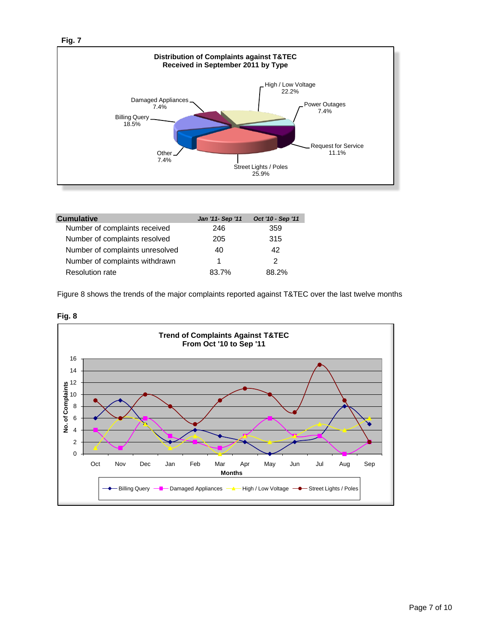



| <b>Cumulative</b>               | Jan '11- Sep '11 | Oct '10 - Sep '11 |
|---------------------------------|------------------|-------------------|
| Number of complaints received   | 246              | 359               |
| Number of complaints resolved   | 205              | 315               |
| Number of complaints unresolved | 40               | 42                |
| Number of complaints withdrawn  |                  | 2                 |
| <b>Resolution rate</b>          | 83.7%            | 88 2%             |

Figure 8 shows the trends of the major complaints reported against T&TEC over the last twelve months



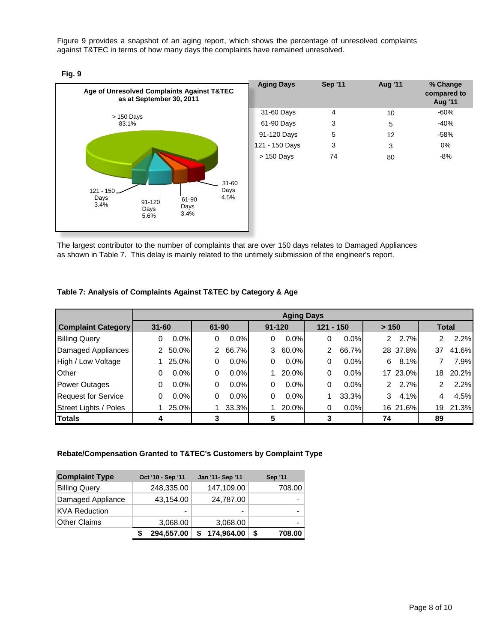Figure 9 provides a snapshot of an aging report, which shows the percentage of unresolved complaints against T&TEC in terms of how many days the complaints have remained unresolved.





The largest contributor to the number of complaints that are over 150 days relates to Damaged Appliances as shown in Table 7. This delay is mainly related to the untimely submission of the engineer's report.

#### **Table 7: Analysis of Complaints Against T&TEC by Category & Age**

|                            | <b>Aging Days</b> |         |              |         |            |         |             |         |       |          |    |              |
|----------------------------|-------------------|---------|--------------|---------|------------|---------|-------------|---------|-------|----------|----|--------------|
| <b>Complaint Category</b>  | $31 - 60$         |         | 61-90        |         | $91 - 120$ |         | $121 - 150$ |         | > 150 |          |    | <b>Total</b> |
| <b>Billing Query</b>       | 0                 | 0.0%    | 0            | $0.0\%$ | 0          | $0.0\%$ | 0           | $0.0\%$ |       | $2.7\%$  | 2  | 2.2%         |
| Damaged Appliances         |                   | 2 50.0% | $\mathbf{2}$ | 66.7%l  | 3          | 60.0%l  | 2           | 66.7%   |       | 28 37.8% | 37 | 41.6%        |
| High / Low Voltage         |                   | 25.0%   | 0            | $0.0\%$ | 0          | $0.0\%$ | 0           | 0.0%    | 6     | 8.1%     |    | 7.9%         |
| Other                      | 0                 | $0.0\%$ | 0            | $0.0\%$ |            | 20.0%   | 0           | 0.0%    |       | 17 23.0% | 18 | 20.2%        |
| <b>Power Outages</b>       | 0                 | $0.0\%$ | 0            | $0.0\%$ | 0          | $0.0\%$ | 0           | $0.0\%$ |       | $2.7\%$  | 2  | 2.2%         |
| <b>Request for Service</b> | 0                 | $0.0\%$ | 0            | $0.0\%$ | 0          | $0.0\%$ |             | 33.3%   | 3     | 4.1%     | 4  | 4.5%         |
| Street Lights / Poles      |                   | 25.0%   |              | 33.3%l  |            | 20.0%   | 0           | $0.0\%$ |       | 16 21.6% | 19 | 21.3%        |
| <b>Totals</b>              |                   |         |              |         | 5          |         |             |         | 74    |          | 89 |              |

#### **Rebate/Compensation Granted to T&TEC's Customers by Complaint Type**

| <b>Complaint Type</b> | Oct '10 - Sep '11 | Jan '11- Sep '11 |            | <b>Sep '11</b> |
|-----------------------|-------------------|------------------|------------|----------------|
| <b>Billing Query</b>  | 248,335.00        |                  | 147,109.00 | 708.00         |
| Damaged Appliance     | 43,154.00         |                  | 24,787.00  |                |
| <b>KVA Reduction</b>  |                   |                  | -          |                |
| <b>Other Claims</b>   | 3,068.00          |                  | 3,068.00   | -              |
|                       | 294,557.00        |                  | 174,964.00 | \$<br>708.00   |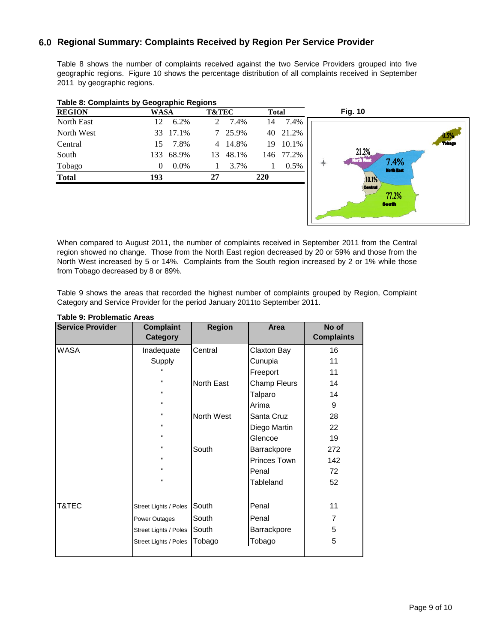## **6.0 Regional Summary: Complaints Received by Region Per Service Provider**

Table 8 shows the number of complaints received against the two Service Providers grouped into five geographic regions. Figure 10 shows the percentage distribution of all complaints received in September 2011 by geographic regions.

| <b>REGION</b> | WASA                | <b>T&amp;TEC</b> | <b>Total</b> | <b>Fig. 10</b> |
|---------------|---------------------|------------------|--------------|----------------|
| North East    | 6.2%<br>12          | 7.4%<br>2        | 7.4%<br>14   |                |
| North West    | 33 17.1%            | 7 25.9%          | 40 21.2%     |                |
| Central       | 7.8%<br>15          | 4 14.8%          | 10.1%<br>19  |                |
| South         | 68.9%<br>133        | 48.1%<br>13      | 146 77.2%    | 21.2           |
| Tobago        | $0.0\%$<br>$\Omega$ | 3.7%             | 0.5%         | North V        |
| <b>Total</b>  | 193                 | 27               | 220          |                |
|               |                     |                  |              |                |

#### **Table 8: Complaints by Geographic Regions**



When compared to August 2011, the number of complaints received in September 2011 from the Central region showed no change. Those from the North East region decreased by 20 or 59% and those from the North West increased by 5 or 14%. Complaints from the South region increased by 2 or 1% while those from Tobago decreased by 8 or 89%.

Table 9 shows the areas that recorded the highest number of complaints grouped by Region, Complaint Category and Service Provider for the period January 2011to September 2011.

| <b>Service Provider</b> | <b>Complaint</b><br><b>Category</b> | <b>Region</b> | Area         | No of<br><b>Complaints</b> |
|-------------------------|-------------------------------------|---------------|--------------|----------------------------|
| WASA                    | Inadequate                          | Central       | Claxton Bay  | 16                         |
|                         | Supply                              |               | Cunupia      | 11                         |
|                         | $\mathbf{u}$                        |               | Freeport     | 11                         |
|                         |                                     | North East    | Champ Fleurs | 14                         |
|                         |                                     |               | Talparo      | 14                         |
|                         |                                     |               | Arima        | 9                          |
|                         | н.                                  | North West    | Santa Cruz   | 28                         |
|                         | н.                                  |               | Diego Martin | 22                         |
|                         | н.                                  |               | Glencoe      | 19                         |
|                         | н.                                  | South         | Barrackpore  | 272                        |
|                         |                                     |               | Princes Town | 142                        |
|                         |                                     |               | Penal        | 72                         |
|                         |                                     |               | Tableland    | 52                         |
| T&TEC                   | Street Lights / Poles               | South         | Penal        | 11                         |
|                         | Power Outages                       | South         | Penal        | $\overline{7}$             |
|                         | Street Lights / Poles               | South         | Barrackpore  | 5                          |
|                         | <b>Street Lights / Poles</b>        | Tobago        | Tobago       | 5                          |

### **Table 9: Problematic Areas**